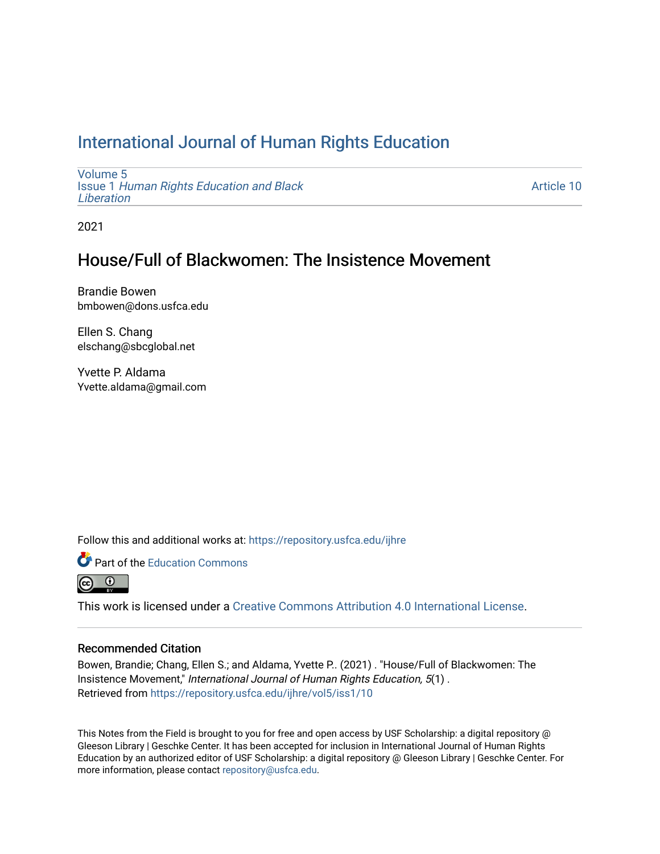## [International Journal of Human Rights Education](https://repository.usfca.edu/ijhre)

[Volume 5](https://repository.usfca.edu/ijhre/vol5) Issue 1 [Human Rights Education and Black](https://repository.usfca.edu/ijhre/vol5/iss1)  **Liberation** 

[Article 10](https://repository.usfca.edu/ijhre/vol5/iss1/10) 

2021

## House/Full of Blackwomen: The Insistence Movement

Brandie Bowen bmbowen@dons.usfca.edu

Ellen S. Chang elschang@sbcglobal.net

Yvette P. Aldama Yvette.aldama@gmail.com

Follow this and additional works at: [https://repository.usfca.edu/ijhre](https://repository.usfca.edu/ijhre?utm_source=repository.usfca.edu%2Fijhre%2Fvol5%2Fiss1%2F10&utm_medium=PDF&utm_campaign=PDFCoverPages) 



<u>ේ</u>

This work is licensed under a [Creative Commons Attribution 4.0 International License](https://creativecommons.org/licenses/by/4.0/).

#### Recommended Citation

Bowen, Brandie; Chang, Ellen S.; and Aldama, Yvette P.. (2021) . "House/Full of Blackwomen: The Insistence Movement," International Journal of Human Rights Education, 5(1) . Retrieved from [https://repository.usfca.edu/ijhre/vol5/iss1/10](https://repository.usfca.edu/ijhre/vol5/iss1/10?utm_source=repository.usfca.edu%2Fijhre%2Fvol5%2Fiss1%2F10&utm_medium=PDF&utm_campaign=PDFCoverPages) 

This Notes from the Field is brought to you for free and open access by USF Scholarship: a digital repository @ Gleeson Library | Geschke Center. It has been accepted for inclusion in International Journal of Human Rights Education by an authorized editor of USF Scholarship: a digital repository @ Gleeson Library | Geschke Center. For more information, please contact [repository@usfca.edu](mailto:repository@usfca.edu).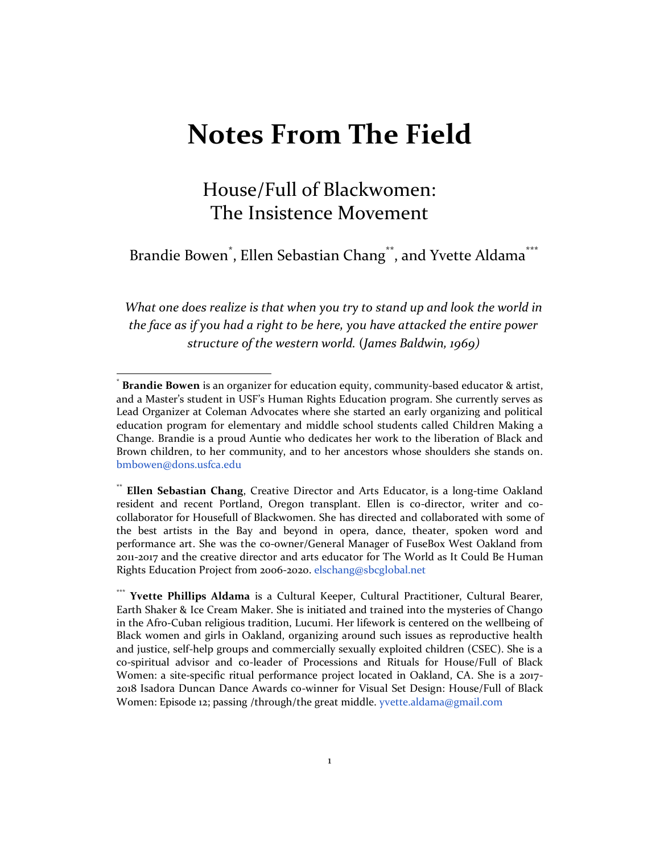# **Notes From The Field**

## House/Full of Blackwomen: The Insistence Movement

Brandie Bowen<sup>\*</sup>, Ellen Sebastian Chang<sup>\*\*</sup>, and Yvette Aldama<sup>\*\*\*</sup>

*What one does realize is that when you try to stand up and look the world in the face as if you had a right to be here, you have attacked the entire power structure of the western world.* (*James Baldwin, 1969)*

<sup>\*</sup> **Brandie Bowen** is an organizer for education equity, community-based educator & artist, and a Master's student in USF's Human Rights Education program. She currently serves as Lead Organizer at Coleman Advocates where she started an early organizing and political education program for elementary and middle school students called Children Making a Change. Brandie is a proud Auntie who dedicates her work to the liberation of Black and Brown children, to her community, and to her ancestors whose shoulders she stands on. [bmbowen@dons.usfca.edu](mailto:bmbowen@dons.usfca.edu)

<sup>\*\*</sup> **Ellen Sebastian Chang**, Creative Director and Arts Educator, is a long-time Oakland resident and recent Portland, Oregon transplant. Ellen is co-director, writer and cocollaborator for Housefull of Blackwomen. She has directed and collaborated with some of the best artists in the Bay and beyond in opera, dance, theater, spoken word and performance art. She was the co-owner/General Manager of FuseBox West Oakland from 2011-2017 and the creative director and arts educator for The World as It Could Be Human Rights Education Project from 2006-2020[. elschang@sbcglobal.net](mailto:elschang@sbcglobal.net)

Yvette Phillips Aldama is a Cultural Keeper, Cultural Practitioner, Cultural Bearer, Earth Shaker & Ice Cream Maker. She is initiated and trained into the mysteries of Chango in the Afro-Cuban religious tradition, Lucumi. Her lifework is centered on the wellbeing of Black women and girls in Oakland, organizing around such issues as reproductive health and justice, self-help groups and commercially sexually exploited children (CSEC). She is a co-spiritual advisor and co-leader of Processions and Rituals for House/Full of Black Women: a site-specific ritual performance project located in Oakland, CA. She is a 2017- 2018 Isadora Duncan Dance Awards co-winner for Visual Set Design: House/Full of Black Women: Episode 12; passing /through/the great middle. yvette.aldama@gmail.com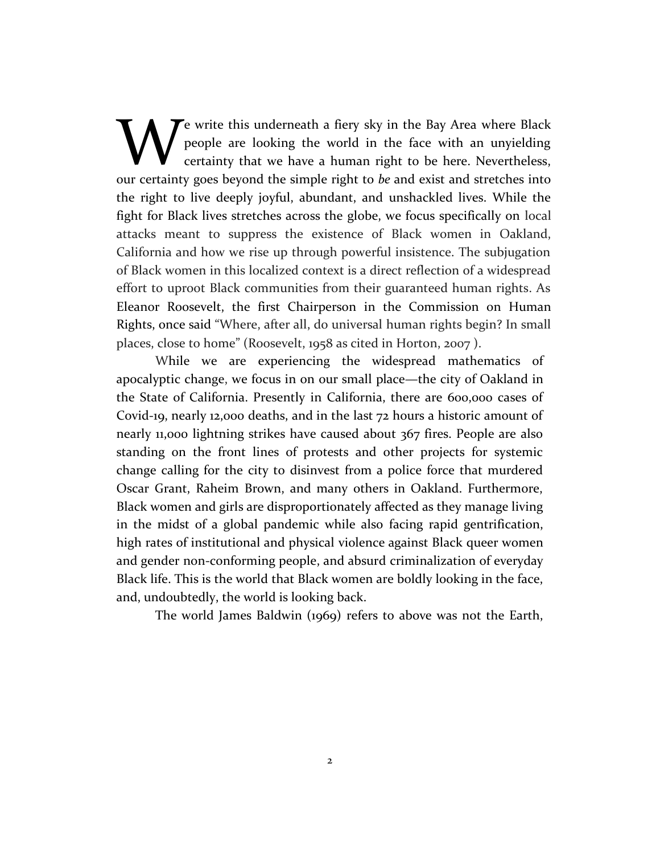Te write this underneath a fiery sky in the Bay Area where Black people are looking the world in the face with an unyielding certainty that we have a human right to be here. Nevertheless, **EXECU A** existe this underneath a fiery sky in the Bay Area where Black people are looking the world in the face with an unyielding certainty that we have a human right to be here. Nevertheless, our certainty goes beyond the right to live deeply joyful, abundant, and unshackled lives. While the fight for Black lives stretches across the globe, we focus specifically on local attacks meant to suppress the existence of Black women in Oakland, California and how we rise up through powerful insistence. The subjugation of Black women in this localized context is a direct reflection of a widespread effort to uproot Black communities from their guaranteed human rights. As Eleanor Roosevelt, the first Chairperson in the Commission on Human Rights, once said "Where, after all, do universal human rights begin? In small places, close to home" (Roosevelt, 1958 as cited in Horton, 2007 ).

While we are experiencing the widespread mathematics of apocalyptic change, we focus in on our small place—the city of Oakland in the State of California. Presently in California, there are 600,000 cases of Covid-19, nearly 12,000 deaths, and in the last 72 hours a historic amount of nearly 11,000 lightning strikes have caused about 367 fires. People are also standing on the front lines of protests and other projects for systemic change calling for the city to disinvest from a police force that murdered Oscar Grant, Raheim Brown, and many others in Oakland. Furthermore, Black women and girls are disproportionately affected as they manage living in the midst of a global pandemic while also facing rapid gentrification, high rates of institutional and physical violence against Black queer women and gender non-conforming people, and absurd criminalization of everyday Black life. This is the world that Black women are boldly looking in the face, and, undoubtedly, the world is looking back.

The world James Baldwin (1969) refers to above was not the Earth,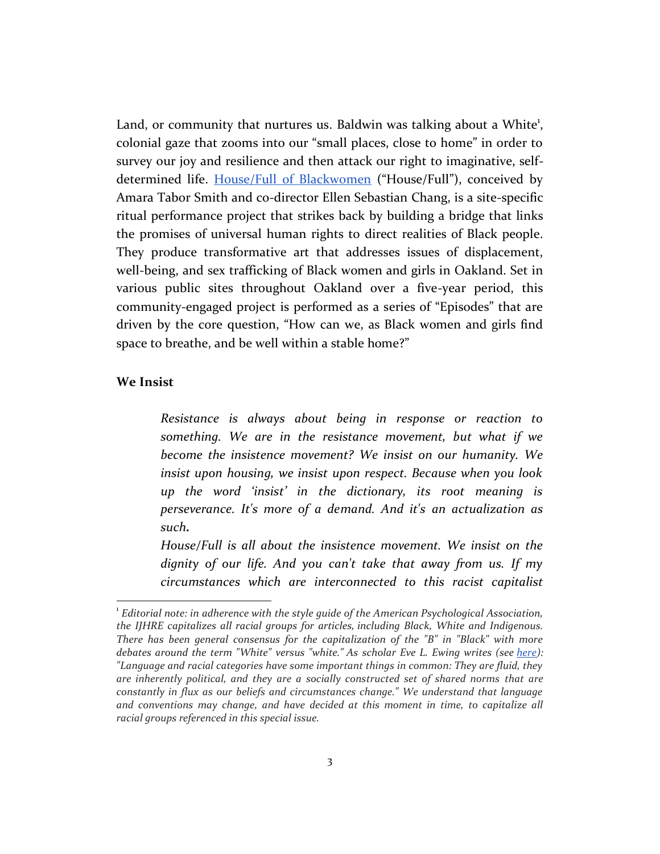Land, or community that nurtures us. Baldwin was talking about a White<sup>1</sup>, colonial gaze that zooms into our "small places, close to home" in order to survey our joy and resilience and then attack our right to imaginative, selfdetermined life. [House/Full of Blackwomen](https://localnewsmatters.org/2020/08/07/house-full-of-blackwomen-delivers-rituals-outside-the-confines-of-a-theater/) ("House/Full"), conceived by Amara Tabor Smith and co-director Ellen Sebastian Chang, is a site-specific ritual performance project that strikes back by building a bridge that links the promises of universal human rights to direct realities of Black people. They produce transformative art that addresses issues of displacement, well-being, and sex trafficking of Black women and girls in Oakland. Set in various public sites throughout Oakland over a five-year period, this community-engaged project is performed as a series of "Episodes" that are driven by the core question, "How can we, as Black women and girls find space to breathe, and be well within a stable home?"

#### **We Insist**

*Resistance is always about being in response or reaction to something. We are in the resistance movement, but what if we become the insistence movement? We insist on our humanity. We insist upon housing, we insist upon respect. Because when you look up the word 'insist' in the dictionary, its root meaning is perseverance. It's more of a demand. And it's an actualization as such.*

*House/Full is all about the insistence movement. We insist on the dignity of our life. And you can't take that away from us. If my circumstances which are interconnected to this racist capitalist* 

<sup>1</sup> *Editorial note: in adherence with the style guide of the American Psychological Association, the IJHRE capitalizes all racial groups for articles, including Black, White and Indigenous. There has been general consensus for the capitalization of the "B" in "Black" with more debates around the term "White" versus "white." As scholar Eve L. Ewing writes (see [here\)](https://zora.medium.com/im-a-black-scholar-who-studies-race-here-s-why-i-capitalize-white-f94883aa2dd3): "Language and racial categories have some important things in common: They are fluid, they are inherently political, and they are a socially constructed set of shared norms that are constantly in flux as our beliefs and circumstances change." We understand that language and conventions may change, and have decided at this moment in time, to capitalize all racial groups referenced in this special issue.*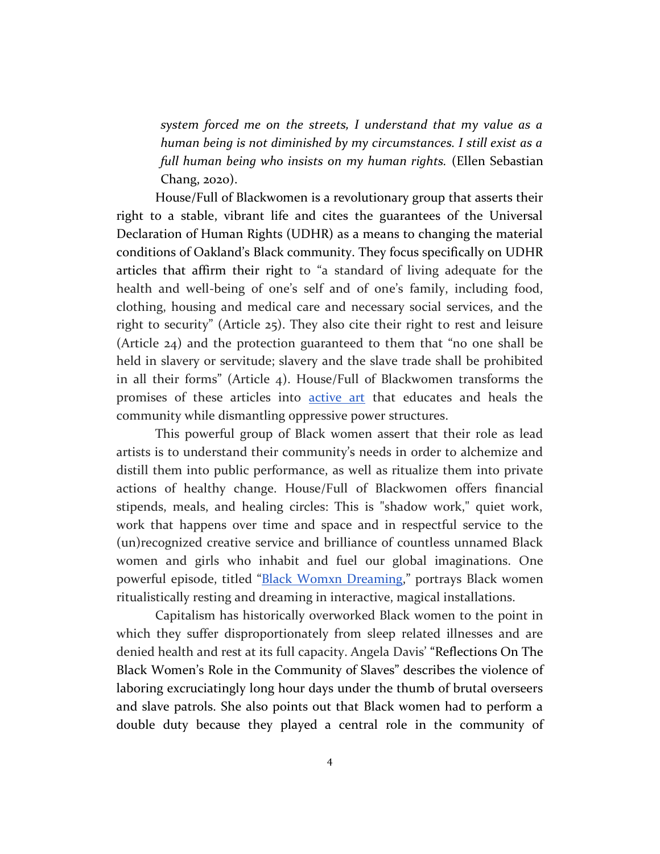*system forced me on the streets, I understand that my value as a human being is not diminished by my circumstances. I still exist as a full human being who insists on my human rights.* (Ellen Sebastian Chang, 2020).

House/Full of Blackwomen is a revolutionary group that asserts their right to a stable, vibrant life and cites the guarantees of the Universal Declaration of Human Rights (UDHR) as a means to changing the material conditions of Oakland's Black community. They focus specifically on UDHR articles that affirm their right to "a standard of living adequate for the health and well-being of one's self and of one's family, including food, clothing, housing and medical care and necessary social services, and the right to security" (Article 25). They also cite their right to rest and leisure (Article 24) and the protection guaranteed to them that "no one shall be held in slavery or servitude; slavery and the slave trade shall be prohibited in all their forms" (Article 4). House/Full of Blackwomen transforms the promises of these articles into [active art](https://www.youtube.com/watch?v=hYAOUIZK4tk) [t](https://www.youtube.com/watch?v=hYAOUIZK4tk)hat educates and heals the community while dismantling oppressive power structures.

This powerful group of Black women assert that their role as lead artists is to understand their community's needs in order to alchemize and distill them into public performance, as well as ritualize them into private actions of healthy change. House/Full of Blackwomen offers financial stipends, meals, and healing circles: This is "shadow work," quiet work, work that happens over time and space and in respectful service to the (un)recognized creative service and brilliance of countless unnamed Black women and girls who inhabit and fuel our global imaginations. One powerful episode, titled "[Black Womxn Dreaming](https://www.kqed.org/arts/12959678/a-house-full-of-black-women-a-week-of-rest)," portrays Black women ritualistically resting and dreaming in interactive, magical installations.

Capitalism has historically overworked Black women to the point in which they suffer disproportionately from sleep related illnesses and are denied health and rest at its full capacity. Angela Davis' "Reflections On The Black Women's Role in the Community of Slaves" describes the violence of laboring excruciatingly long hour days under the thumb of brutal overseers and slave patrols. She also points out that Black women had to perform a double duty because they played a central role in the community of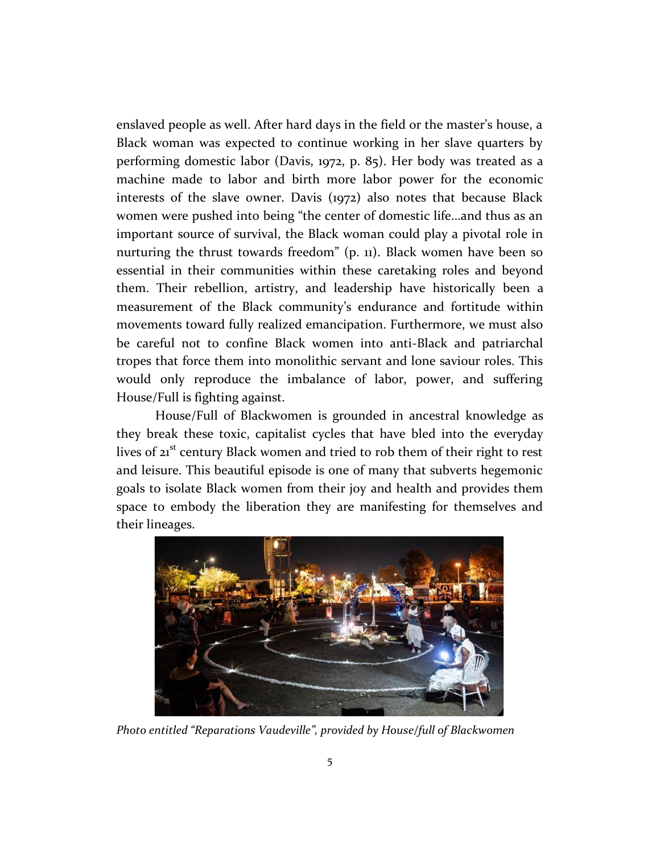enslaved people as well. After hard days in the field or the master's house, a Black woman was expected to continue working in her slave quarters by performing domestic labor (Davis, 1972, p. 85). Her body was treated as a machine made to labor and birth more labor power for the economic interests of the slave owner. Davis (1972) also notes that because Black women were pushed into being "the center of domestic life...and thus as an important source of survival, the Black woman could play a pivotal role in nurturing the thrust towards freedom" (p. 11). Black women have been so essential in their communities within these caretaking roles and beyond them. Their rebellion, artistry, and leadership have historically been a measurement of the Black community's endurance and fortitude within movements toward fully realized emancipation. Furthermore, we must also be careful not to confine Black women into anti-Black and patriarchal tropes that force them into monolithic servant and lone saviour roles. This would only reproduce the imbalance of labor, power, and suffering House/Full is fighting against.

House/Full of Blackwomen is grounded in ancestral knowledge as they break these toxic, capitalist cycles that have bled into the everyday lives of 21<sup>st</sup> century Black women and tried to rob them of their right to rest and leisure. This beautiful episode is one of many that subverts hegemonic goals to isolate Black women from their joy and health and provides them space to embody the liberation they are manifesting for themselves and their lineages.



*Photo entitled "Reparations Vaudeville", provided by House/full of Blackwomen*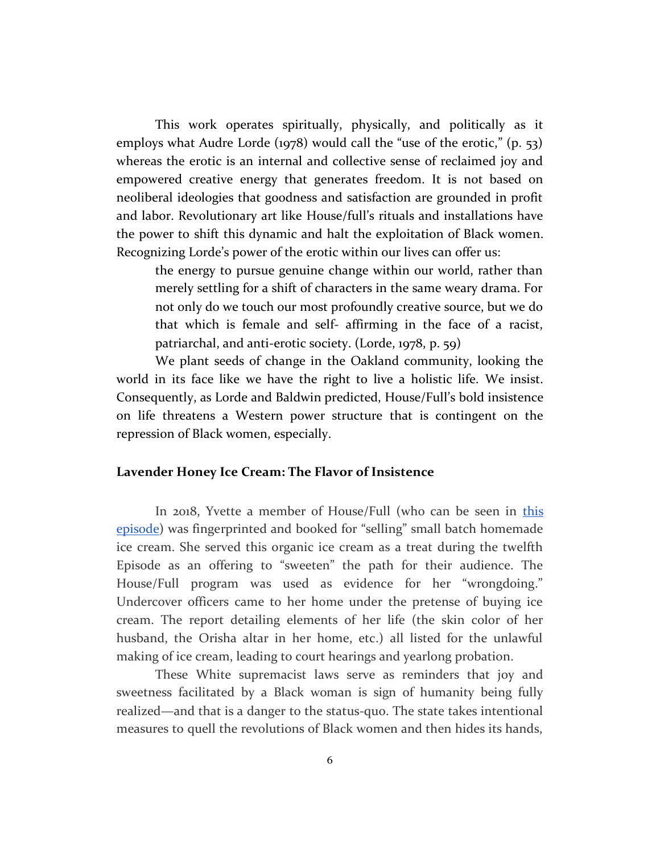This work operates spiritually, physically, and politically as it employs what Audre Lorde (1978) would call the "use of the erotic," (p. 53) whereas the erotic is an internal and collective sense of reclaimed joy and empowered creative energy that generates freedom. It is not based on neoliberal ideologies that goodness and satisfaction are grounded in profit and labor. Revolutionary art like House/full's rituals and installations have the power to shift this dynamic and halt the exploitation of Black women. Recognizing Lorde's power of the erotic within our lives can offer us:

the energy to pursue genuine change within our world, rather than merely settling for a shift of characters in the same weary drama. For not only do we touch our most profoundly creative source, but we do that which is female and self- affirming in the face of a racist, patriarchal, and anti-erotic society. (Lorde, 1978, p. 59)

We plant seeds of change in the Oakland community, looking the world in its face like we have the right to live a holistic life. We insist. Consequently, as Lorde and Baldwin predicted, House/Full's bold insistence on life threatens a Western power structure that is contingent on the repression of Black women, especially.

#### **Lavender Honey Ice Cream: The Flavor of Insistence**

In 2018, Yvette a member of House/Full (who can be seen in [this](https://www.youtube.com/watch?v=ZwIx2pq9j00&feature=youtu.be) [episode](https://www.youtube.com/watch?v=ZwIx2pq9j00&feature=youtu.be)) was fingerprinted and booked for "selling" small batch homemade ice cream. She served this organic ice cream as a treat during the twelfth Episode as an offering to "sweeten" the path for their audience. The House/Full program was used as evidence for her "wrongdoing." Undercover officers came to her home under the pretense of buying ice cream. The report detailing elements of her life (the skin color of her husband, the Orisha altar in her home, etc.) all listed for the unlawful making of ice cream, leading to court hearings and yearlong probation.

These White supremacist laws serve as reminders that joy and sweetness facilitated by a Black woman is sign of humanity being fully realized—and that is a danger to the status-quo. The state takes intentional measures to quell the revolutions of Black women and then hides its hands,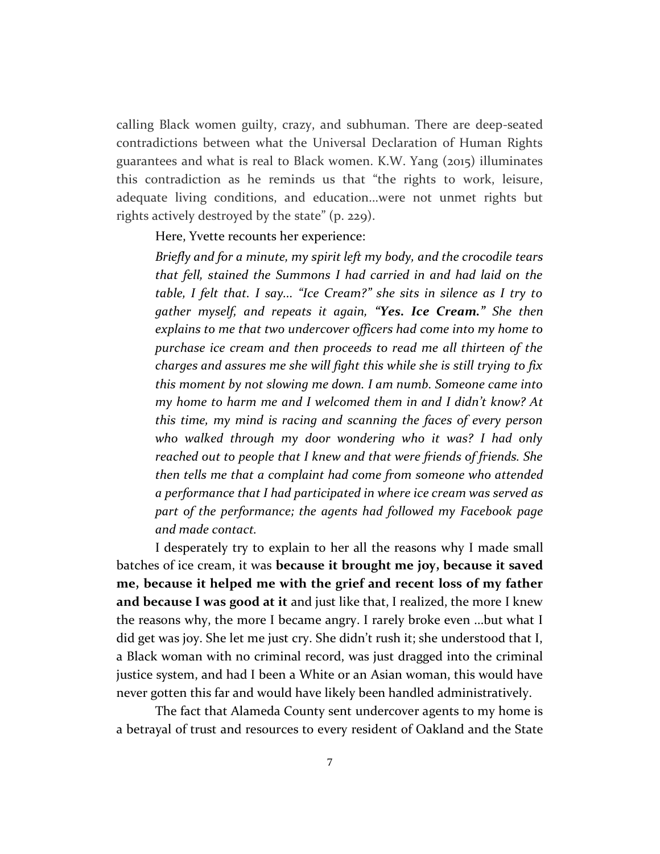calling Black women guilty, crazy, and subhuman. There are deep-seated contradictions between what the Universal Declaration of Human Rights guarantees and what is real to Black women. K.W. Yang (2015) illuminates this contradiction as he reminds us that "the rights to work, leisure, adequate living conditions, and education...were not unmet rights but rights actively destroyed by the state" (p. 229).

Here, Yvette recounts her experience:

*Briefly and for a minute, my spirit left my body, and the crocodile tears that fell, stained the Summons I had carried in and had laid on the table, I felt that. I say... "Ice Cream?" she sits in silence as I try to gather myself, and repeats it again, "Yes. Ice Cream." She then explains to me that two undercover officers had come into my home to purchase ice cream and then proceeds to read me all thirteen of the charges and assures me she will fight this while she is still trying to fix this moment by not slowing me down. I am numb. Someone came into my home to harm me and I welcomed them in and I didn't know? At this time, my mind is racing and scanning the faces of every person who walked through my door wondering who it was? I had only reached out to people that I knew and that were friends of friends. She then tells me that a complaint had come from someone who attended a performance that I had participated in where ice cream was served as part of the performance; the agents had followed my Facebook page and made contact.*

I desperately try to explain to her all the reasons why I made small batches of ice cream, it was **because it brought me joy, because it saved me, because it helped me with the grief and recent loss of my father and because I was good at it** and just like that, I realized, the more I knew the reasons why, the more I became angry. I rarely broke even ...but what I did get was joy. She let me just cry. She didn't rush it; she understood that I, a Black woman with no criminal record, was just dragged into the criminal justice system, and had I been a White or an Asian woman, this would have never gotten this far and would have likely been handled administratively.

The fact that Alameda County sent undercover agents to my home is a betrayal of trust and resources to every resident of Oakland and the State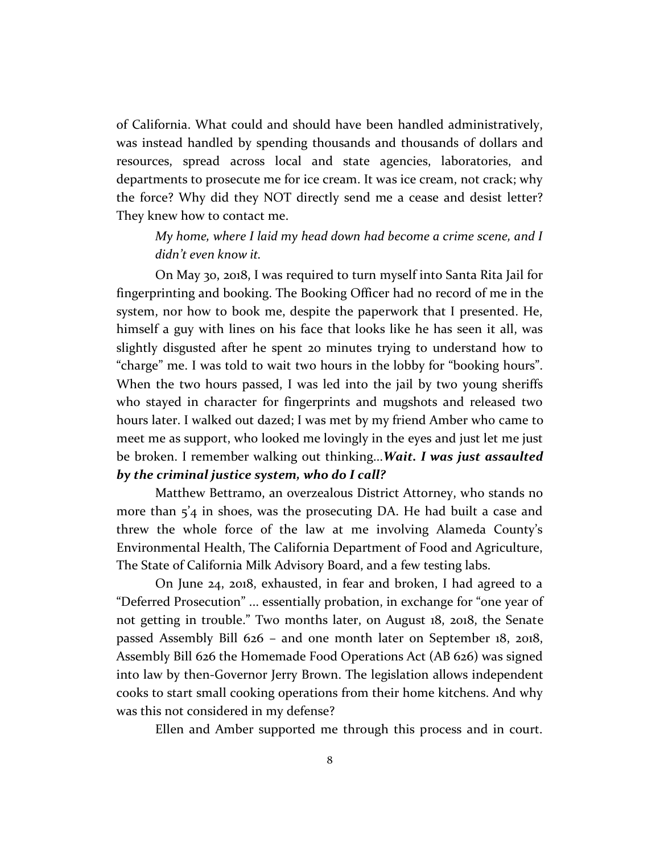of California. What could and should have been handled administratively, was instead handled by spending thousands and thousands of dollars and resources, spread across local and state agencies, laboratories, and departments to prosecute me for ice cream. It was ice cream, not crack; why the force? Why did they NOT directly send me a cease and desist letter? They knew how to contact me.

*My home, where I laid my head down had become a crime scene, and I didn't even know it.*

On May 30, 2018, I was required to turn myself into Santa Rita Jail for fingerprinting and booking. The Booking Officer had no record of me in the system, nor how to book me, despite the paperwork that I presented. He, himself a guy with lines on his face that looks like he has seen it all, was slightly disgusted after he spent 20 minutes trying to understand how to "charge" me. I was told to wait two hours in the lobby for "booking hours". When the two hours passed, I was led into the jail by two young sheriffs who stayed in character for fingerprints and mugshots and released two hours later. I walked out dazed; I was met by my friend Amber who came to meet me as support, who looked me lovingly in the eyes and just let me just be broken. I remember walking out thinking...*Wait. I was just assaulted by the criminal justice system, who do I call?*

Matthew Bettramo, an overzealous District Attorney, who stands no more than  $5'$ 4 in shoes, was the prosecuting DA. He had built a case and threw the whole force of the law at me involving Alameda County's Environmental Health, The California Department of Food and Agriculture, The State of California Milk Advisory Board, and a few testing labs.

On June 24, 2018, exhausted, in fear and broken, I had agreed to a "Deferred Prosecution" ... essentially probation, in exchange for "one year of not getting in trouble." Two months later, on August 18, 2018, the Senate passed Assembly Bill 626 – and one month later on September 18, 2018, Assembly Bill 626 the Homemade Food Operations Act (AB 626) was signed into law by then-Governor Jerry Brown. The legislation allows independent cooks to start small cooking operations from their home kitchens. And why was this not considered in my defense?

Ellen and Amber supported me through this process and in court.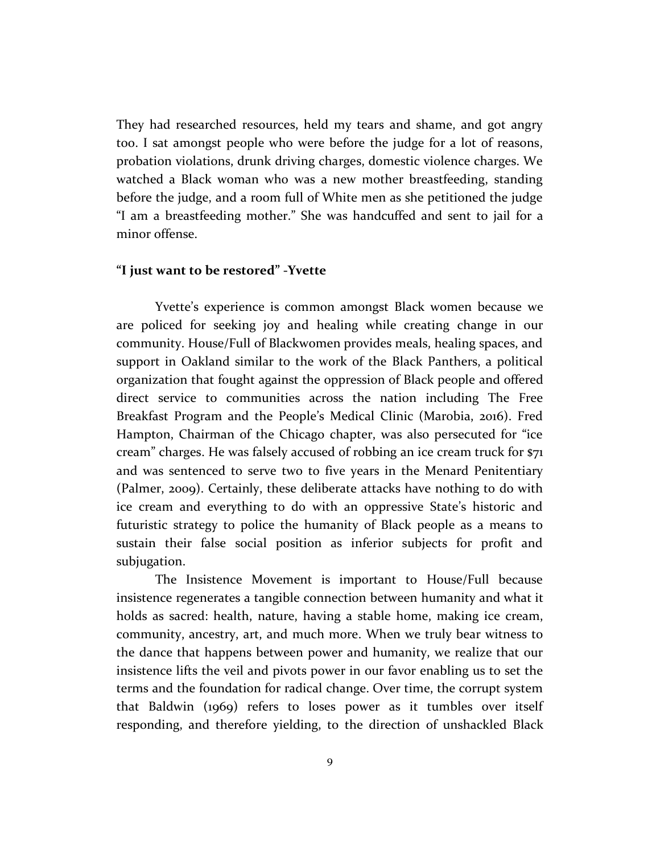They had researched resources, held my tears and shame, and got angry too. I sat amongst people who were before the judge for a lot of reasons, probation violations, drunk driving charges, domestic violence charges. We watched a Black woman who was a new mother breastfeeding, standing before the judge, and a room full of White men as she petitioned the judge "I am a breastfeeding mother." She was handcuffed and sent to jail for a minor offense.

#### **"I just want to be restored" -Yvette**

Yvette's experience is common amongst Black women because we are policed for seeking joy and healing while creating change in our community. House/Full of Blackwomen provides meals, healing spaces, and support in Oakland similar to the work of the Black Panthers, a political organization that fought against the oppression of Black people and offered direct service to communities across the nation including The Free Breakfast Program and the People's Medical Clinic (Marobia, 2016). Fred Hampton, Chairman of the Chicago chapter, was also persecuted for "ice cream" charges. He was falsely accused of robbing an ice cream truck for \$71 and was sentenced to serve two to five years in the Menard Penitentiary (Palmer, 2009). Certainly, these deliberate attacks have nothing to do with ice cream and everything to do with an oppressive State's historic and futuristic strategy to police the humanity of Black people as a means to sustain their false social position as inferior subjects for profit and subjugation.

The Insistence Movement is important to House/Full because insistence regenerates a tangible connection between humanity and what it holds as sacred: health, nature, having a stable home, making ice cream, community, ancestry, art, and much more. When we truly bear witness to the dance that happens between power and humanity, we realize that our insistence lifts the veil and pivots power in our favor enabling us to set the terms and the foundation for radical change. Over time, the corrupt system that Baldwin (1969) refers to loses power as it tumbles over itself responding, and therefore yielding, to the direction of unshackled Black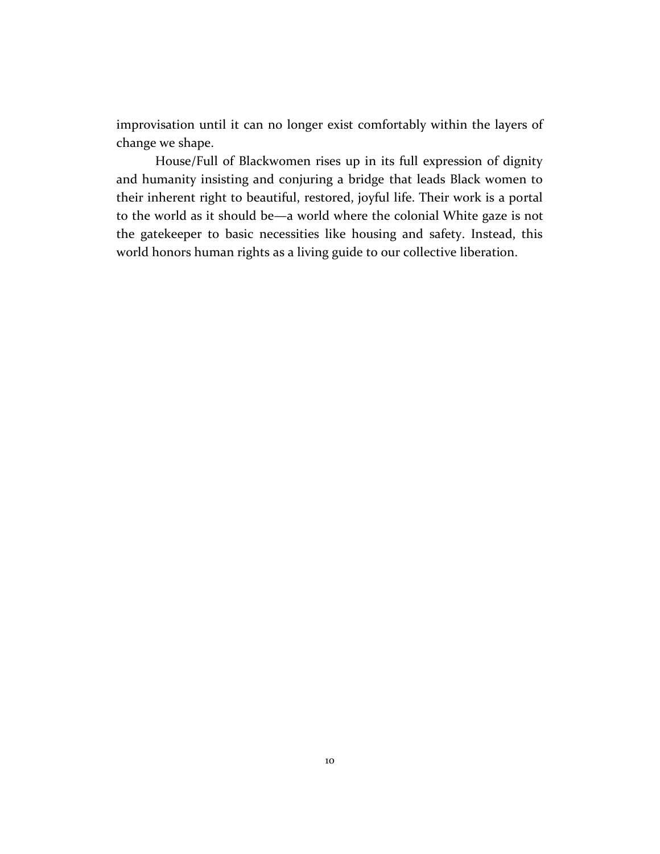improvisation until it can no longer exist comfortably within the layers of change we shape.

House/Full of Blackwomen rises up in its full expression of dignity and humanity insisting and conjuring a bridge that leads Black women to their inherent right to beautiful, restored, joyful life. Their work is a portal to the world as it should be—a world where the colonial White gaze is not the gatekeeper to basic necessities like housing and safety. Instead, this world honors human rights as a living guide to our collective liberation.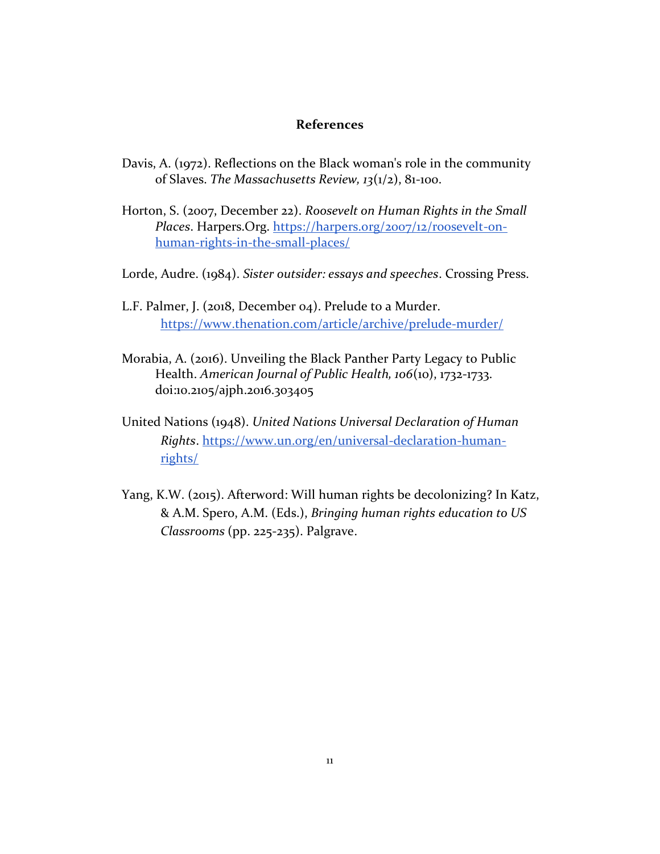#### **References**

- Davis, A. (1972). Reflections on the Black woman's role in the community of Slaves. *The Massachusetts Review, 13*(1/2), 81-100.
- Horton, S. (2007, December 22). *Roosevelt on Human Rights in the Small Places*. Harpers.Org. [https://harpers.org/2007/12/roosevelt-on](https://harpers.org/2007/12/roosevelt-on-%09human-rights-in-the-small-places/)[human-rights-in-the-small-places/](https://harpers.org/2007/12/roosevelt-on-%09human-rights-in-the-small-places/)
- Lorde, Audre. (1984). *Sister outsider: essays and speeches*. Crossing Press.
- L.F. Palmer, J. (2018, December 04). Prelude to a Murder. https[://www.thenation.com/article/archive/prelude-murder/](http://www.thenation.com/article/archive/prelude-murder/)
- Morabia, A. (2016). Unveiling the Black Panther Party Legacy to Public Health. *American Journal of Public Health, 106*(10), 1732-1733. doi:10.2105/ajph.2016.303405
- United Nations (1948). *United Nations Universal Declaration of Human Rights*. https[://www.un.org/en/universal-declaration-human](http://www.un.org/en/universal-declaration-human-rights/)[rights/](http://www.un.org/en/universal-declaration-human-rights/)
- Yang, K.W. (2015). Afterword: Will human rights be decolonizing? In Katz, & A.M. Spero, A.M. (Eds.), *Bringing human rights education to US Classrooms* (pp. 225-235). Palgrave.